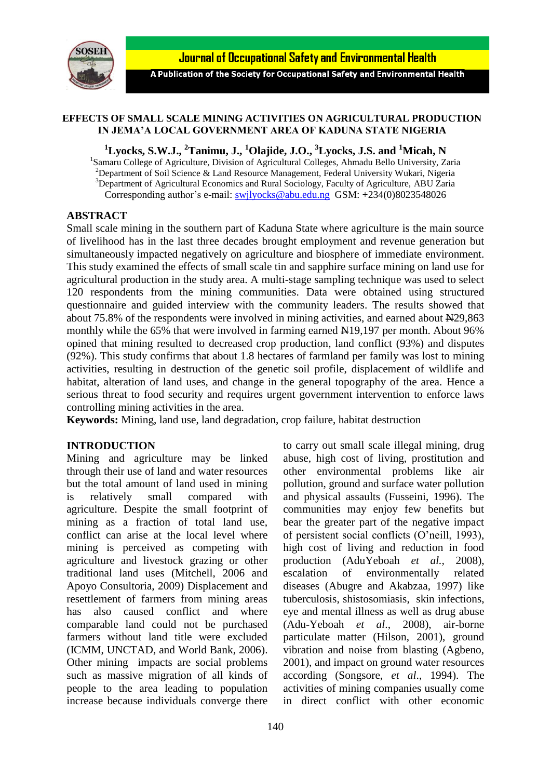

A Publication of the Society for Occupational Safety and Environmental Health

#### **EFFECTS OF SMALL SCALE MINING ACTIVITIES ON AGRICULTURAL PRODUCTION IN JEMA'A LOCAL GOVERNMENT AREA OF KADUNA STATE NIGERIA**

**<sup>1</sup>Lyocks, S.W.J., <sup>2</sup>Tanimu, J., <sup>1</sup>Olajide, J.O., <sup>3</sup>Lyocks, J.S. and <sup>1</sup>Micah, N**

<sup>1</sup>Samaru College of Agriculture, Division of Agricultural Colleges, Ahmadu Bello University, Zaria <sup>2</sup>Department of Soil Science & Land Resource Management, Federal University Wukari, Nigeria <sup>3</sup>Department of Agricultural Economics and Rural Sociology, Faculty of Agriculture, ABU Zaria Corresponding author's e-mail: [swjlyocks@abu.edu.ng](mailto:swjlyocks@abu.edu.ng) GSM: +234(0)8023548026

### **ABSTRACT**

Small scale mining in the southern part of Kaduna State where agriculture is the main source of livelihood has in the last three decades brought employment and revenue generation but simultaneously impacted negatively on agriculture and biosphere of immediate environment. This study examined the effects of small scale tin and sapphire surface mining on land use for agricultural production in the study area. A multi-stage sampling technique was used to select 120 respondents from the mining communities. Data were obtained using structured questionnaire and guided interview with the community leaders. The results showed that about  $75.8\%$  of the respondents were involved in mining activities, and earned about  $\text{N29,863}$ monthly while the  $65\%$  that were involved in farming earned  $\text{H}19,197$  per month. About 96% opined that mining resulted to decreased crop production, land conflict (93%) and disputes (92%). This study confirms that about 1.8 hectares of farmland per family was lost to mining activities, resulting in destruction of the genetic soil profile, displacement of wildlife and habitat, alteration of land uses, and change in the general topography of the area. Hence a serious threat to food security and requires urgent government intervention to enforce laws controlling mining activities in the area.

**Keywords:** Mining, land use, land degradation, crop failure, habitat destruction

# **INTRODUCTION**

Mining and agriculture may be linked through their use of land and water resources but the total amount of land used in mining is relatively small compared with agriculture. Despite the small footprint of mining as a fraction of total land use, conflict can arise at the local level where mining is perceived as competing with agriculture and livestock grazing or other traditional land uses (Mitchell, 2006 and Apoyo Consultoria, 2009) Displacement and resettlement of farmers from mining areas has also caused conflict and where comparable land could not be purchased farmers without land title were excluded (ICMM, UNCTAD, and World Bank, 2006). Other mining impacts are social problems such as massive migration of all kinds of people to the area leading to population increase because individuals converge there to carry out small scale illegal mining, drug abuse, high cost of living, prostitution and other environmental problems like air pollution, ground and surface water pollution and physical assaults (Fusseini, 1996). The communities may enjoy few benefits but bear the greater part of the negative impact of persistent social conflicts (O'neill, 1993), high cost of living and reduction in food production (AduYeboah *et al.,* 2008), escalation of environmentally related diseases (Abugre and Akabzaa, 1997) like tuberculosis, shistosomiasis, skin infections, eye and mental illness as well as drug abuse (Adu-Yeboah *et al*., 2008), air-borne particulate matter (Hilson, 2001), ground vibration and noise from blasting (Agbeno, 2001), and impact on ground water resources according (Songsore, *et al*., 1994). The activities of mining companies usually come in direct conflict with other economic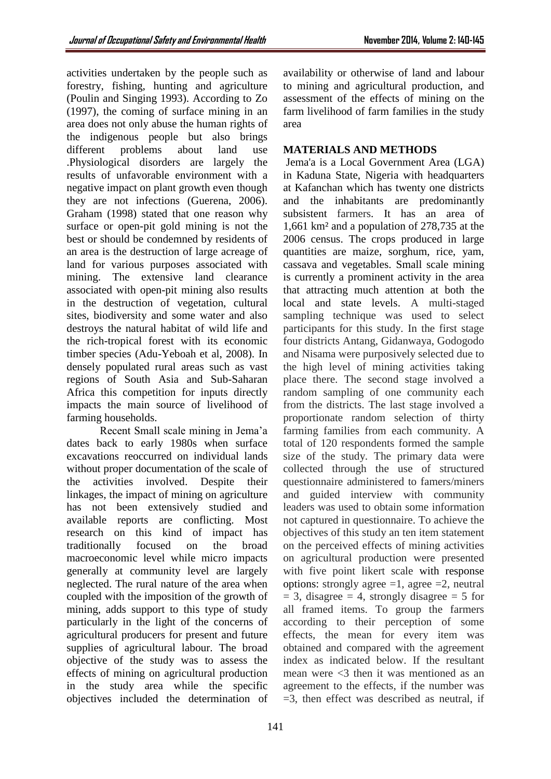(Poulin and Singing 1993). According to Zo (1997), the coming of surface mining in an area does not only abuse the human rights of the indigenous people but also brings different problems about land use .Physiological disorders are largely the results of unfavorable environment with a negative impact on plant growth even though they are not infections (Guerena, 2006). Graham (1998) stated that one reason why surface or open-pit gold mining is not the best or should be condemned by residents of an area is the destruction of large acreage of land for various purposes associated with mining. The extensive land clearance associated with open-pit mining also results in the destruction of vegetation, cultural sites, biodiversity and some water and also destroys the natural habitat of wild life and the rich-tropical forest with its economic timber species (Adu-Yeboah et al, 2008). In densely populated rural areas such as vast regions of South Asia and Sub-Saharan Africa this competition for inputs directly impacts the main source of livelihood of farming households.

Recent Small scale mining in Jema'a dates back to early 1980s when surface excavations reoccurred on individual lands without proper documentation of the scale of the activities involved. Despite their linkages, the impact of mining on agriculture has not been extensively studied and available reports are conflicting. Most research on this kind of impact has traditionally focused on the broad macroeconomic level while micro impacts generally at community level are largely neglected. The rural nature of the area when coupled with the imposition of the growth of mining, adds support to this type of study particularly in the light of the concerns of agricultural producers for present and future supplies of agricultural labour. The broad objective of the study was to assess the effects of mining on agricultural production in the study area while the specific objectives included the determination of

availability or otherwise of land and labour to mining and agricultural production, and assessment of the effects of mining on the farm livelihood of farm families in the study

# **MATERIALS AND METHODS**

Jema'a is a Local [Government Area \(](http://en.wikipedia.org/wiki/Local_Government_Areas_of_Nigeria)LGA) in [Kaduna State,](http://en.wikipedia.org/wiki/Kaduna_State) [Nigeria](http://en.wikipedia.org/wiki/Nigeria) with headquarters at Kafanchan which has twenty one districts and the inhabitants are predominantly subsistent farmers. It has an area of 1,661 km² and a population of 278,735 at the 2006 census. The crops produced in large quantities are maize, sorghum, rice, yam, cassava and vegetables. Small scale mining is currently a prominent activity in the area that attracting much attention at both the local and state levels. A multi-staged sampling technique was used to select participants for this study. In the first stage four districts Antang, Gidanwaya, Godogodo and Nisama were purposively selected due to the high level of mining activities taking place there. The second stage involved a random sampling of one community each from the districts. The last stage involved a proportionate random selection of thirty farming families from each community. A total of 120 respondents formed the sample size of the study. The primary data were collected through the use of structured questionnaire administered to famers/miners and guided interview with community leaders was used to obtain some information not captured in questionnaire. To achieve the objectives of this study an ten item statement on the perceived effects of mining activities on agricultural production were presented with five point likert scale with response options: strongly agree  $=1$ , agree  $=2$ , neutral  $= 3$ , disagree  $= 4$ , strongly disagree  $= 5$  for all framed items. To group the farmers according to their perception of some effects, the mean for every item was obtained and compared with the agreement index as indicated below. If the resultant mean were <3 then it was mentioned as an agreement to the effects, if the number was  $=$ 3, then effect was described as neutral, if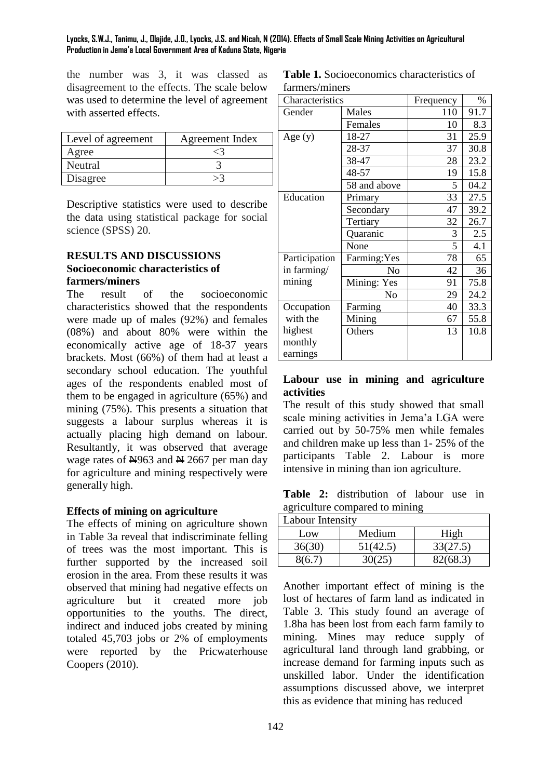#### **Lyocks, S.W.J., Tanimu, J., Olajide, J.O., Lyocks, J.S. and Micah, N (2014). Effects of Small Scale Mining Activities on Agricultural Production in Jema'a Local Government Area of Kaduna State, Nigeria**

the number was 3, it was classed as disagreement to the effects. The scale below was used to determine the level of agreement with asserted effects.

| Level of agreement | Agreement Index |  |  |  |
|--------------------|-----------------|--|--|--|
| Agree              |                 |  |  |  |
| Neutral            |                 |  |  |  |
| Disagree           |                 |  |  |  |

Descriptive statistics were used to describe the data using statistical package for social science (SPSS) 20.

# **RESULTS AND DISCUSSIONS Socioeconomic characteristics of farmers/miners**

The result of the socioeconomic characteristics showed that the respondents were made up of males (92%) and females (08%) and about 80% were within the economically active age of 18-37 years brackets. Most (66%) of them had at least a secondary school education. The youthful ages of the respondents enabled most of them to be engaged in agriculture (65%) and mining (75%). This presents a situation that suggests a labour surplus whereas it is actually placing high demand on labour. Resultantly, it was observed that average wage rates of  $\frac{N}{963}$  and  $\frac{N}{1067}$  per man day for agriculture and mining respectively were generally high.

# **Effects of mining on agriculture**

The effects of mining on agriculture shown in Table 3a reveal that indiscriminate felling of trees was the most important. This is further supported by the increased soil erosion in the area. From these results it was observed that mining had negative effects on agriculture but it created more job opportunities to the youths. The direct, indirect and induced jobs created by mining totaled 45,703 jobs or 2% of employments were reported by the Pricwaterhouse Coopers (2010).

**Table 1.** Socioeconomics characteristics of farmers/miners

| Characteristics | Frequency      | $\%$ |      |
|-----------------|----------------|------|------|
| Gender          | Males          | 110  | 91.7 |
|                 | Females        | 10   | 8.3  |
| Age $(y)$       | 18-27          | 31   | 25.9 |
|                 | 28-37          | 37   | 30.8 |
|                 | 38-47          | 28   | 23.2 |
|                 | 48-57          | 19   | 15.8 |
|                 | 58 and above   | 5    | 04.2 |
| Education       | Primary        | 33   | 27.5 |
|                 | Secondary      | 47   | 39.2 |
|                 | Tertiary       | 32   | 26.7 |
|                 | Quaranic       | 3    | 2.5  |
|                 | None           | 5    | 4.1  |
| Participation   | Farming: Yes   | 78   | 65   |
| in farming/     | No             | 42   | 36   |
| mining          | Mining: Yes    | 91   | 75.8 |
|                 | N <sub>o</sub> | 29   | 24.2 |
| Occupation      | Farming        | 40   | 33.3 |
| with the        | Mining         | 67   | 55.8 |
| highest         | Others         | 13   | 10.8 |
| monthly         |                |      |      |
| earnings        |                |      |      |

# **Labour use in mining and agriculture activities**

The result of this study showed that small scale mining activities in Jema'a LGA were carried out by 50-75% men while females and children make up less than 1- 25% of the participants Table 2. Labour is more intensive in mining than ion agriculture.

|                                |  | <b>Table 2:</b> distribution of labour use in |  |  |  |  |
|--------------------------------|--|-----------------------------------------------|--|--|--|--|
| agriculture compared to mining |  |                                               |  |  |  |  |

| Labour Intensity |          |          |  |  |
|------------------|----------|----------|--|--|
| Low              | High     |          |  |  |
| 36(30)           | 51(42.5) | 33(27.5) |  |  |
| 8(6.7)           | 30(25)   | 82(68.3) |  |  |

Another important effect of mining is the lost of hectares of farm land as indicated in Table 3. This study found an average of 1.8ha has been lost from each farm family to mining. Mines may reduce supply of agricultural land through land grabbing, or increase demand for farming inputs such as unskilled labor. Under the identification assumptions discussed above, we interpret this as evidence that mining has reduced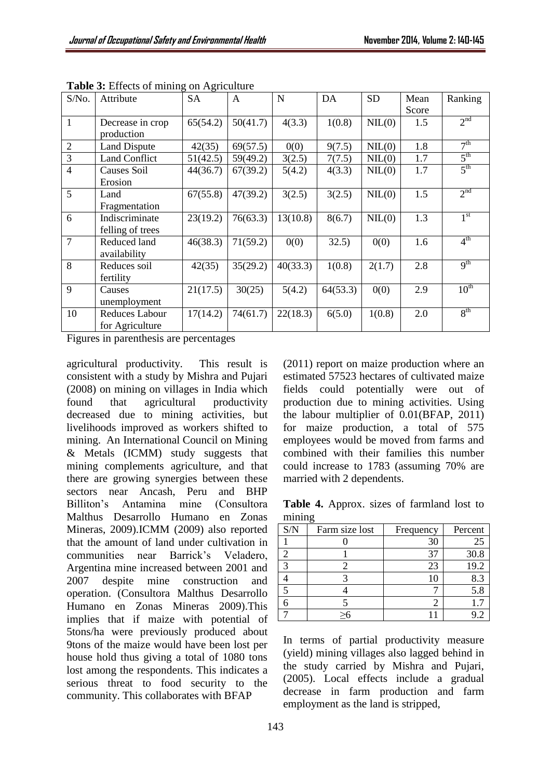| S/No.          | nteets of maning on fightential<br>Attribute | <b>SA</b> | $\mathbf{A}$ | N        | DA       | <b>SD</b> | Mean  | Ranking         |
|----------------|----------------------------------------------|-----------|--------------|----------|----------|-----------|-------|-----------------|
|                |                                              |           |              |          |          |           | Score |                 |
| $\mathbf{1}$   | Decrease in crop                             | 65(54.2)  | 50(41.7)     | 4(3.3)   | 1(0.8)   | NIL(0)    | 1.5   | 2 <sup>nd</sup> |
|                | production                                   |           |              |          |          |           |       |                 |
| $\mathfrak{2}$ | <b>Land Dispute</b>                          | 42(35)    | 69(57.5)     | 0(0)     | 9(7.5)   | NIL(0)    | 1.8   | 7 <sup>th</sup> |
| 3              | <b>Land Conflict</b>                         | 51(42.5)  | 59(49.2)     | 3(2.5)   | 7(7.5)   | NIL(0)    | 1.7   | $5^{\text{th}}$ |
| $\overline{4}$ | Causes Soil                                  | 44(36.7)  | 67(39.2)     | 5(4.2)   | 4(3.3)   | NIL(0)    | 1.7   | 5 <sup>th</sup> |
|                | Erosion                                      |           |              |          |          |           |       |                 |
| 5              | Land                                         | 67(55.8)  | 47(39.2)     | 3(2.5)   | 3(2.5)   | NIL(0)    | 1.5   | 2 <sup>nd</sup> |
|                | Fragmentation                                |           |              |          |          |           |       |                 |
| 6              | Indiscriminate                               | 23(19.2)  | 76(63.3)     | 13(10.8) | 8(6.7)   | NIL(0)    | 1.3   | 1 <sup>st</sup> |
|                | felling of trees                             |           |              |          |          |           |       |                 |
| $\overline{7}$ | Reduced land                                 | 46(38.3)  | 71(59.2)     | 0(0)     | 32.5)    | 0(0)      | 1.6   | $4^{\text{th}}$ |
|                | availability                                 |           |              |          |          |           |       |                 |
| 8              | Reduces soil                                 | 42(35)    | 35(29.2)     | 40(33.3) | 1(0.8)   | 2(1.7)    | 2.8   | 9 <sup>th</sup> |
|                | fertility                                    |           |              |          |          |           |       |                 |
| 9              | Causes                                       | 21(17.5)  | 30(25)       | 5(4.2)   | 64(53.3) | 0(0)      | 2.9   | $10^{th}$       |
|                | unemployment                                 |           |              |          |          |           |       |                 |
| 10             | Reduces Labour                               | 17(14.2)  | 74(61.7)     | 22(18.3) | 6(5.0)   | 1(0.8)    | 2.0   | 8 <sup>th</sup> |
|                | for Agriculture                              |           |              |          |          |           |       |                 |

**Table 3:** Effects of mining on Agriculture

Figures in parenthesis are percentages

agricultural productivity. This result is consistent with a study by Mishra and Pujari (2008) on mining on villages in India which found that agricultural productivity decreased due to mining activities, but livelihoods improved as workers shifted to mining. An International Council on Mining & Metals (ICMM) study suggests that mining complements agriculture, and that there are growing synergies between these sectors near Ancash, Peru and BHP Billiton's Antamina mine (Consultora Malthus Desarrollo Humano en Zonas Mineras, 2009).ICMM (2009) also reported that the amount of land under cultivation in communities near Barrick's Veladero, Argentina mine increased between 2001 and 2007 despite mine construction and operation. (Consultora Malthus Desarrollo Humano en Zonas Mineras 2009).This implies that if maize with potential of 5tons/ha were previously produced about 9tons of the maize would have been lost per house hold thus giving a total of 1080 tons lost among the respondents. This indicates a serious threat to food security to the community. This collaborates with BFAP

(2011) report on maize production where an estimated 57523 hectares of cultivated maize fields could potentially were out of production due to mining activities. Using the labour multiplier of 0.01(BFAP, 2011) for maize production, a total of 575 employees would be moved from farms and combined with their families this number could increase to 1783 (assuming 70% are married with 2 dependents.

**Table 4.** Approx. sizes of farmland lost to mining

| S/N | Farm size lost | Frequency | Percent |
|-----|----------------|-----------|---------|
|     |                | 30        | 25      |
|     |                | 37        | 30.8    |
|     |                | 23        | 19.2    |
|     |                |           | 8.3     |
|     |                |           | 5.8     |
|     |                |           |         |
|     |                |           |         |

In terms of partial productivity measure (yield) mining villages also lagged behind in the study carried by Mishra and Pujari, (2005). Local effects include a gradual decrease in farm production and farm employment as the land is stripped,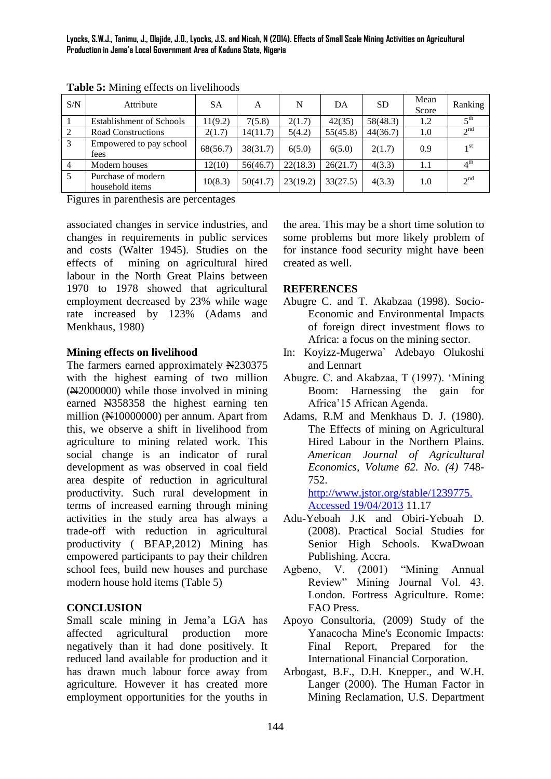**Lyocks, S.W.J., Tanimu, J., Olajide, J.O., Lyocks, J.S. and Micah, N (2014). Effects of Small Scale Mining Activities on Agricultural Production in Jema'a Local Government Area of Kaduna State, Nigeria**

| S/N            | ັ<br>Attribute                        | <b>SA</b> | A        | N        | DA       | <b>SD</b> | Mean<br>Score | Ranking               |
|----------------|---------------------------------------|-----------|----------|----------|----------|-----------|---------------|-----------------------|
|                | <b>Establishment of Schools</b>       | 11(9.2)   | 7(5.8)   | 2(1.7)   | 42(35)   | 58(48.3)  | 1.2           | $\zeta$ <sup>th</sup> |
| $\sqrt{2}$     | Road Constructions                    | 2(1.7)    | 14(11.7) | 5(4.2)   | 55(45.8) | 44(36.7)  | 1.0           | 2 <sup>nd</sup>       |
| $\overline{3}$ | Empowered to pay school<br>fees       | 68(56.7)  | 38(31.7) | 6(5.0)   | 6(5.0)   | 2(1.7)    | 0.9           | 1 <sub>st</sub>       |
| $\overline{4}$ | Modern houses                         | 12(10)    | 56(46.7) | 22(18.3) | 26(21.7) | 4(3.3)    | 1.1           | $4^{\text{th}}$       |
| 5              | Purchase of modern<br>household items | 10(8.3)   | 50(41.7) | 23(19.2) | 33(27.5) | 4(3.3)    | 1.0           | 2 <sup>nd</sup>       |

**Table 5:** Mining effects on livelihoods

Figures in parenthesis are percentages

associated changes in service industries, and changes in requirements in public services and costs (Walter 1945). Studies on the effects of mining on agricultural hired labour in the North Great Plains between 1970 to 1978 showed that agricultural employment decreased by 23% while wage rate increased by 123% (Adams and Menkhaus, 1980)

#### **Mining effects on livelihood**

The farmers earned approximately N230375 with the highest earning of two million (N2000000) while those involved in mining earned N358358 the highest earning ten million  $(\text{H10000000})$  per annum. Apart from this, we observe a shift in livelihood from agriculture to mining related work. This social change is an indicator of rural development as was observed in coal field area despite of reduction in agricultural productivity. Such rural development in terms of increased earning through mining activities in the study area has always a trade-off with reduction in agricultural productivity ( BFAP,2012) Mining has empowered participants to pay their children school fees, build new houses and purchase modern house hold items (Table 5)

#### **CONCLUSION**

Small scale mining in Jema'a LGA has affected agricultural production more negatively than it had done positively. It reduced land available for production and it has drawn much labour force away from agriculture. However it has created more employment opportunities for the youths in the area. This may be a short time solution to some problems but more likely problem of for instance food security might have been created as well.

#### **REFERENCES**

- Abugre C. and T. Akabzaa (1998). Socio-Economic and Environmental Impacts of foreign direct investment flows to Africa: a focus on the mining sector.
- In: Koyizz-Mugerwa` Adebayo Olukoshi and Lennart
- Abugre. C. and Akabzaa, T (1997). 'Mining Boom: Harnessing the gain for Africa'15 African Agenda.
- Adams, R.M and Menkhaus D. J. (1980). The Effects of mining on Agricultural Hired Labour in the Northern Plains. *American Journal of Agricultural Economics, Volume 62. No. (4)* 748- 752.

[http://www.jstor.org/stable/1239775.](http://www.jstor.org/stable/1239775.%20%20%20Accessed%2019/04/2013)  [Accessed 19/04/2013](http://www.jstor.org/stable/1239775.%20%20%20Accessed%2019/04/2013) 11.17

- Adu-Yeboah J.K and Obiri-Yeboah D. (2008). Practical Social Studies for Senior High Schools. KwaDwoan Publishing. Accra.
- Agbeno, V. (2001) "Mining Annual Review" Mining Journal Vol. 43. London. Fortress Agriculture. Rome: FAO Press.
- Apoyo Consultoria, (2009) Study of the Yanacocha Mine's Economic Impacts: Final Report, Prepared for the International Financial Corporation.
- Arbogast, B.F., D.H. Knepper., and W.H. Langer (2000). The Human Factor in Mining Reclamation, U.S. Department